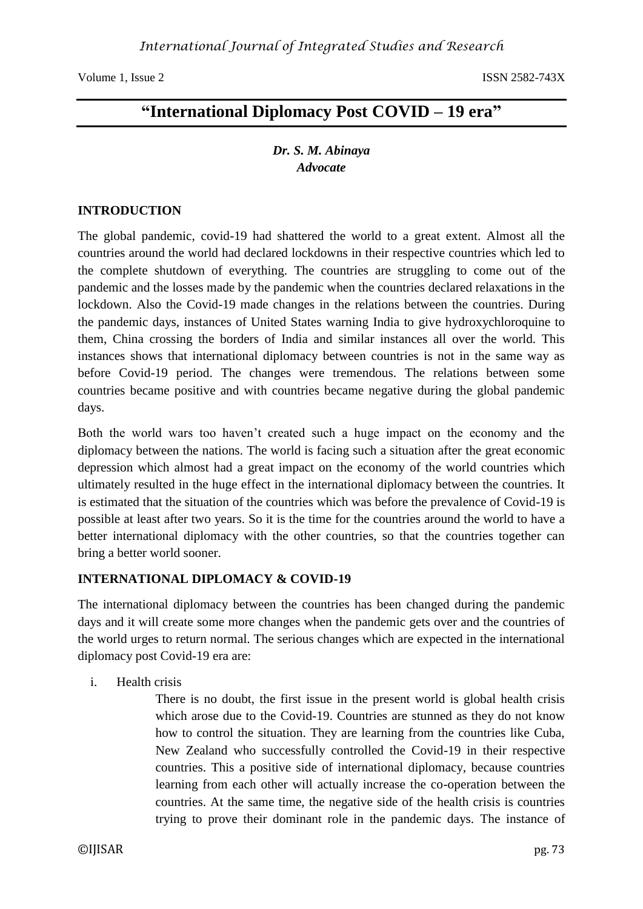# **"International Diplomacy Post COVID – 19 era"**

# *Dr. S. M. Abinaya Advocate*

### **INTRODUCTION**

The global pandemic, covid-19 had shattered the world to a great extent. Almost all the countries around the world had declared lockdowns in their respective countries which led to the complete shutdown of everything. The countries are struggling to come out of the pandemic and the losses made by the pandemic when the countries declared relaxations in the lockdown. Also the Covid-19 made changes in the relations between the countries. During the pandemic days, instances of United States warning India to give hydroxychloroquine to them, China crossing the borders of India and similar instances all over the world. This instances shows that international diplomacy between countries is not in the same way as before Covid-19 period. The changes were tremendous. The relations between some countries became positive and with countries became negative during the global pandemic days.

Both the world wars too haven't created such a huge impact on the economy and the diplomacy between the nations. The world is facing such a situation after the great economic depression which almost had a great impact on the economy of the world countries which ultimately resulted in the huge effect in the international diplomacy between the countries. It is estimated that the situation of the countries which was before the prevalence of Covid-19 is possible at least after two years. So it is the time for the countries around the world to have a better international diplomacy with the other countries, so that the countries together can bring a better world sooner.

# **INTERNATIONAL DIPLOMACY & COVID-19**

The international diplomacy between the countries has been changed during the pandemic days and it will create some more changes when the pandemic gets over and the countries of the world urges to return normal. The serious changes which are expected in the international diplomacy post Covid-19 era are:

i. Health crisis

There is no doubt, the first issue in the present world is global health crisis which arose due to the Covid-19. Countries are stunned as they do not know how to control the situation. They are learning from the countries like Cuba, New Zealand who successfully controlled the Covid-19 in their respective countries. This a positive side of international diplomacy, because countries learning from each other will actually increase the co-operation between the countries. At the same time, the negative side of the health crisis is countries trying to prove their dominant role in the pandemic days. The instance of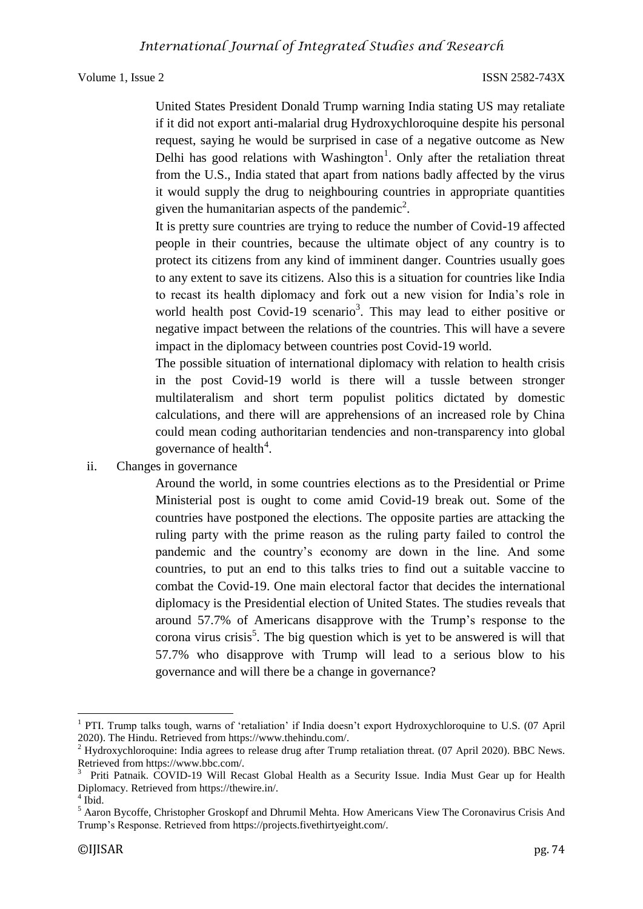United States President Donald Trump warning India stating US may retaliate if it did not export anti-malarial drug Hydroxychloroquine despite his personal request, saying he would be surprised in case of a negative outcome as New Delhi has good relations with Washington<sup>1</sup>. Only after the retaliation threat from the U.S., India stated that apart from nations badly affected by the virus it would supply the drug to neighbouring countries in appropriate quantities given the humanitarian aspects of the pandemic<sup>2</sup>.

It is pretty sure countries are trying to reduce the number of Covid-19 affected people in their countries, because the ultimate object of any country is to protect its citizens from any kind of imminent danger. Countries usually goes to any extent to save its citizens. Also this is a situation for countries like India to recast its health diplomacy and fork out a new vision for India's role in world health post Covid-19 scenario<sup>3</sup>. This may lead to either positive or negative impact between the relations of the countries. This will have a severe impact in the diplomacy between countries post Covid-19 world.

The possible situation of international diplomacy with relation to health crisis in the post Covid-19 world is there will a tussle between stronger multilateralism and short term populist politics dictated by domestic calculations, and there will are apprehensions of an increased role by China could mean coding authoritarian tendencies and non-transparency into global governance of health<sup>4</sup>.

ii. Changes in governance

Around the world, in some countries elections as to the Presidential or Prime Ministerial post is ought to come amid Covid-19 break out. Some of the countries have postponed the elections. The opposite parties are attacking the ruling party with the prime reason as the ruling party failed to control the pandemic and the country's economy are down in the line. And some countries, to put an end to this talks tries to find out a suitable vaccine to combat the Covid-19. One main electoral factor that decides the international diplomacy is the Presidential election of United States. The studies reveals that around 57.7% of Americans disapprove with the Trump's response to the corona virus crisis<sup>5</sup>. The big question which is yet to be answered is will that 57.7% who disapprove with Trump will lead to a serious blow to his governance and will there be a change in governance?

 $\overline{a}$ 

<sup>1</sup> PTI. Trump talks tough, warns of 'retaliation' if India doesn't export Hydroxychloroquine to U.S. (07 April 2020). The Hindu. Retrieved from https://www.thehindu.com/.

<sup>&</sup>lt;sup>2</sup> Hydroxychloroquine: India agrees to release drug after Trump retaliation threat. (07 April 2020). BBC News. Retrieved from https://www.bbc.com/.

<sup>&</sup>lt;sup>3</sup> Priti Patnaik. COVID-19 Will Recast Global Health as a Security Issue. India Must Gear up for Health Diplomacy. Retrieved from https://thewire.in/.

<sup>4</sup> Ibid.

<sup>&</sup>lt;sup>5</sup> Aaron Bycoffe, Christopher Groskopf and Dhrumil Mehta. How Americans View The Coronavirus Crisis And Trump's Response. Retrieved from https://projects.fivethirtyeight.com/.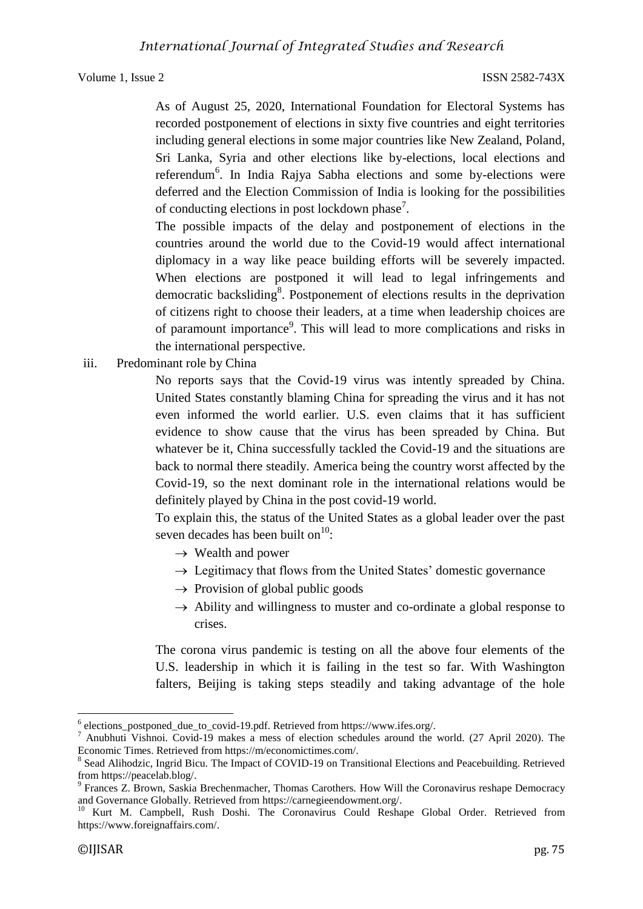As of August 25, 2020, International Foundation for Electoral Systems has recorded postponement of elections in sixty five countries and eight territories including general elections in some major countries like New Zealand, Poland, Sri Lanka, Syria and other elections like by-elections, local elections and referendum<sup>6</sup>. In India Rajya Sabha elections and some by-elections were deferred and the Election Commission of India is looking for the possibilities of conducting elections in post lockdown phase<sup>7</sup>.

The possible impacts of the delay and postponement of elections in the countries around the world due to the Covid-19 would affect international diplomacy in a way like peace building efforts will be severely impacted. When elections are postponed it will lead to legal infringements and democratic backsliding<sup>8</sup>. Postponement of elections results in the deprivation of citizens right to choose their leaders, at a time when leadership choices are of paramount importance<sup>9</sup>. This will lead to more complications and risks in the international perspective.

iii. Predominant role by China

No reports says that the Covid-19 virus was intently spreaded by China. United States constantly blaming China for spreading the virus and it has not even informed the world earlier. U.S. even claims that it has sufficient evidence to show cause that the virus has been spreaded by China. But whatever be it, China successfully tackled the Covid-19 and the situations are back to normal there steadily. America being the country worst affected by the Covid-19, so the next dominant role in the international relations would be definitely played by China in the post covid-19 world.

To explain this, the status of the United States as a global leader over the past seven decades has been built on $^{10}$ :

- $\rightarrow$  Wealth and power
- $\rightarrow$  Legitimacy that flows from the United States' domestic governance
- $\rightarrow$  Provision of global public goods
- $\rightarrow$  Ability and willingness to muster and co-ordinate a global response to crises.

The corona virus pandemic is testing on all the above four elements of the U.S. leadership in which it is failing in the test so far. With Washington falters, Beijing is taking steps steadily and taking advantage of the hole

 $\overline{a}$ 6 elections\_postponed\_due\_to\_covid-19.pdf. Retrieved from https://www.ifes.org/.

<sup>&</sup>lt;sup>7</sup> Anubhuti Vishnoi. Covid-19 makes a mess of election schedules around the world. (27 April 2020). The Economic Times. Retrieved from https://m/economictimes.com/.

<sup>&</sup>lt;sup>8</sup> Sead Alihodzic, Ingrid Bicu. The Impact of COVID-19 on Transitional Elections and Peacebuilding. Retrieved from https://peacelab.blog/.

<sup>&</sup>lt;sup>9</sup> Frances Z. Brown, Saskia Brechenmacher, Thomas Carothers. How Will the Coronavirus reshape Democracy and Governance Globally. Retrieved from https://carnegieendowment.org/.

<sup>&</sup>lt;sup>10</sup> Kurt M. Campbell, Rush Doshi. The Coronavirus Could Reshape Global Order. Retrieved from https://www.foreignaffairs.com/.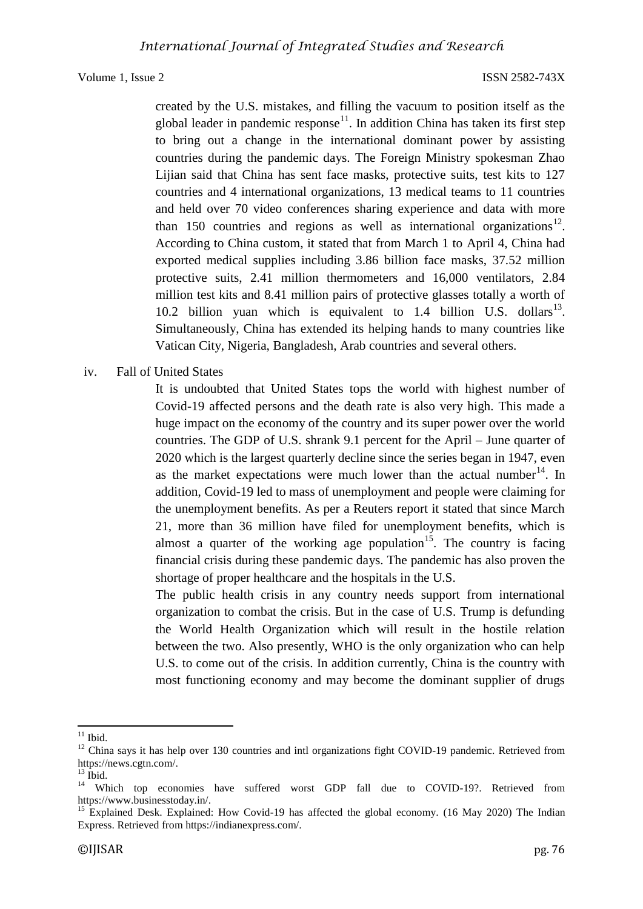created by the U.S. mistakes, and filling the vacuum to position itself as the global leader in pandemic response<sup>11</sup>. In addition China has taken its first step to bring out a change in the international dominant power by assisting countries during the pandemic days. The Foreign Ministry spokesman Zhao Lijian said that China has sent face masks, protective suits, test kits to 127 countries and 4 international organizations, 13 medical teams to 11 countries and held over 70 video conferences sharing experience and data with more than 150 countries and regions as well as international organizations<sup>12</sup>. According to China custom, it stated that from March 1 to April 4, China had exported medical supplies including 3.86 billion face masks, 37.52 million protective suits, 2.41 million thermometers and 16,000 ventilators, 2.84 million test kits and 8.41 million pairs of protective glasses totally a worth of 10.2 billion yuan which is equivalent to  $1.4$  billion U.S. dollars<sup>13</sup>. Simultaneously, China has extended its helping hands to many countries like Vatican City, Nigeria, Bangladesh, Arab countries and several others.

### iv. Fall of United States

It is undoubted that United States tops the world with highest number of Covid-19 affected persons and the death rate is also very high. This made a huge impact on the economy of the country and its super power over the world countries. The GDP of U.S. shrank 9.1 percent for the April – June quarter of 2020 which is the largest quarterly decline since the series began in 1947, even as the market expectations were much lower than the actual number  $14$ . In addition, Covid-19 led to mass of unemployment and people were claiming for the unemployment benefits. As per a Reuters report it stated that since March 21, more than 36 million have filed for unemployment benefits, which is almost a quarter of the working age population<sup>15</sup>. The country is facing financial crisis during these pandemic days. The pandemic has also proven the shortage of proper healthcare and the hospitals in the U.S.

The public health crisis in any country needs support from international organization to combat the crisis. But in the case of U.S. Trump is defunding the World Health Organization which will result in the hostile relation between the two. Also presently, WHO is the only organization who can help U.S. to come out of the crisis. In addition currently, China is the country with most functioning economy and may become the dominant supplier of drugs

**<sup>.</sup>**  $11$  Ibid.

<sup>&</sup>lt;sup>12</sup> China says it has help over 130 countries and intl organizations fight COVID-19 pandemic. Retrieved from https://news.cgtn.com/.

 $13$  Ibid.

<sup>&</sup>lt;sup>14</sup> Which top economies have suffered worst GDP fall due to COVID-19?. Retrieved from https://www.businesstoday.in/.

<sup>&</sup>lt;sup>15</sup> Explained Desk. Explained: How Covid-19 has affected the global economy. (16 May 2020) The Indian Express. Retrieved from https://indianexpress.com/.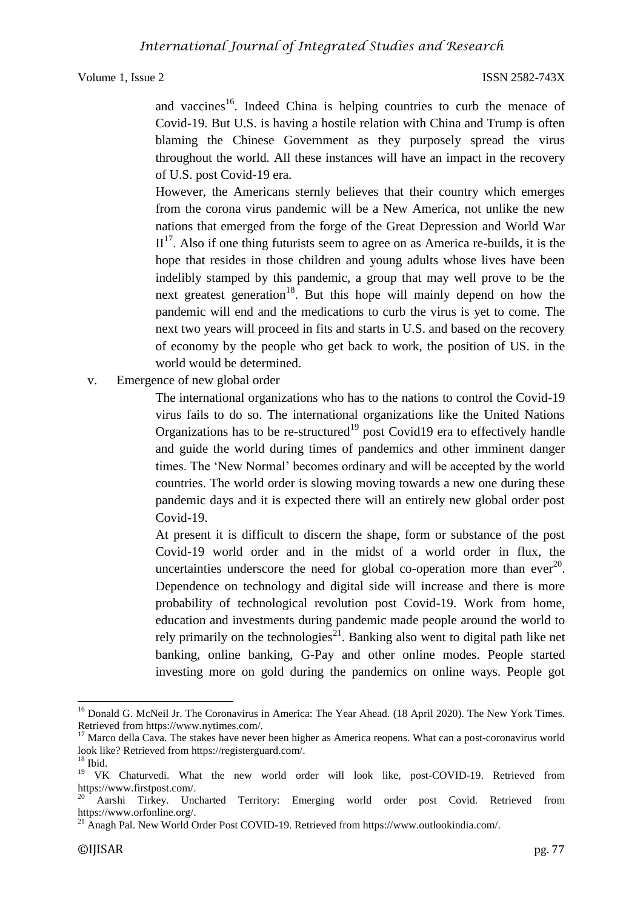and vaccines<sup>16</sup>. Indeed China is helping countries to curb the menace of Covid-19. But U.S. is having a hostile relation with China and Trump is often blaming the Chinese Government as they purposely spread the virus throughout the world. All these instances will have an impact in the recovery of U.S. post Covid-19 era.

However, the Americans sternly believes that their country which emerges from the corona virus pandemic will be a New America, not unlike the new nations that emerged from the forge of the Great Depression and World War  $II<sup>17</sup>$ . Also if one thing futurists seem to agree on as America re-builds, it is the hope that resides in those children and young adults whose lives have been indelibly stamped by this pandemic, a group that may well prove to be the next greatest generation<sup>18</sup>. But this hope will mainly depend on how the pandemic will end and the medications to curb the virus is yet to come. The next two years will proceed in fits and starts in U.S. and based on the recovery of economy by the people who get back to work, the position of US. in the world would be determined.

v. Emergence of new global order

The international organizations who has to the nations to control the Covid-19 virus fails to do so. The international organizations like the United Nations Organizations has to be re-structured<sup>19</sup> post Covid19 era to effectively handle and guide the world during times of pandemics and other imminent danger times. The 'New Normal' becomes ordinary and will be accepted by the world countries. The world order is slowing moving towards a new one during these pandemic days and it is expected there will an entirely new global order post Covid-19.

At present it is difficult to discern the shape, form or substance of the post Covid-19 world order and in the midst of a world order in flux, the uncertainties underscore the need for global co-operation more than ever<sup>20</sup>. Dependence on technology and digital side will increase and there is more probability of technological revolution post Covid-19. Work from home, education and investments during pandemic made people around the world to rely primarily on the technologies<sup>21</sup>. Banking also went to digital path like net banking, online banking, G-Pay and other online modes. People started investing more on gold during the pandemics on online ways. People got

**.** 

<sup>&</sup>lt;sup>16</sup> Donald G. McNeil Jr. The Coronavirus in America: The Year Ahead. (18 April 2020). The New York Times. Retrieved from https://www.nytimes.com/.

<sup>&</sup>lt;sup>17</sup> Marco della Cava. The stakes have never been higher as America reopens. What can a post-coronavirus world look like? Retrieved from https://registerguard.com/.

 $18$  Ibid.

<sup>&</sup>lt;sup>19</sup> VK Chaturvedi. What the new world order will look like, post-COVID-19. Retrieved from https://www.firstpost.com/.

<sup>20</sup> Aarshi Tirkey. Uncharted Territory: Emerging world order post Covid. Retrieved from https://www.orfonline.org/.

<sup>&</sup>lt;sup>21</sup> Anagh Pal. New World Order Post COVID-19. Retrieved from https://www.outlookindia.com/.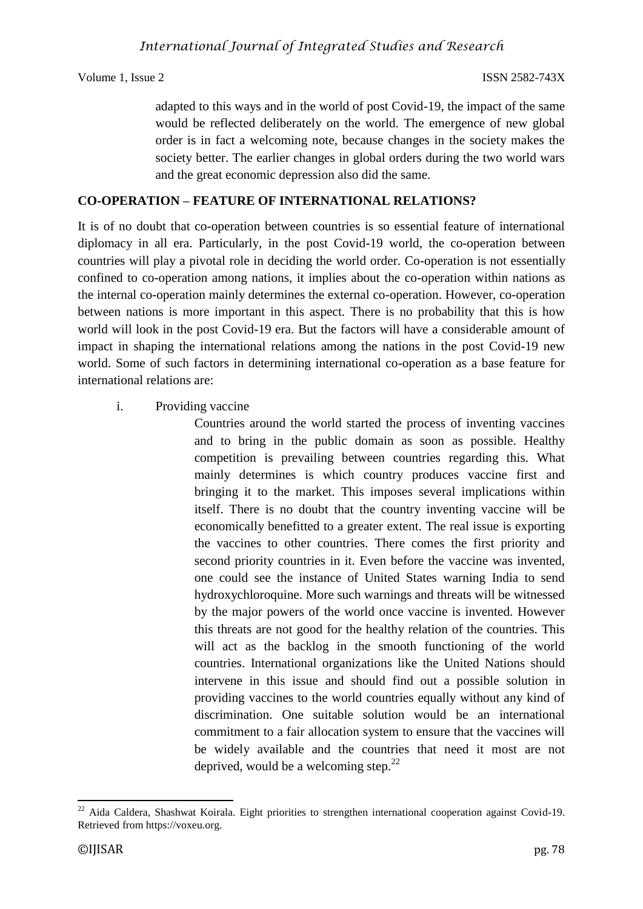adapted to this ways and in the world of post Covid-19, the impact of the same would be reflected deliberately on the world. The emergence of new global order is in fact a welcoming note, because changes in the society makes the society better. The earlier changes in global orders during the two world wars and the great economic depression also did the same.

# **CO-OPERATION – FEATURE OF INTERNATIONAL RELATIONS?**

It is of no doubt that co-operation between countries is so essential feature of international diplomacy in all era. Particularly, in the post Covid-19 world, the co-operation between countries will play a pivotal role in deciding the world order. Co-operation is not essentially confined to co-operation among nations, it implies about the co-operation within nations as the internal co-operation mainly determines the external co-operation. However, co-operation between nations is more important in this aspect. There is no probability that this is how world will look in the post Covid-19 era. But the factors will have a considerable amount of impact in shaping the international relations among the nations in the post Covid-19 new world. Some of such factors in determining international co-operation as a base feature for international relations are:

## i. Providing vaccine

Countries around the world started the process of inventing vaccines and to bring in the public domain as soon as possible. Healthy competition is prevailing between countries regarding this. What mainly determines is which country produces vaccine first and bringing it to the market. This imposes several implications within itself. There is no doubt that the country inventing vaccine will be economically benefitted to a greater extent. The real issue is exporting the vaccines to other countries. There comes the first priority and second priority countries in it. Even before the vaccine was invented, one could see the instance of United States warning India to send hydroxychloroquine. More such warnings and threats will be witnessed by the major powers of the world once vaccine is invented. However this threats are not good for the healthy relation of the countries. This will act as the backlog in the smooth functioning of the world countries. International organizations like the United Nations should intervene in this issue and should find out a possible solution in providing vaccines to the world countries equally without any kind of discrimination. One suitable solution would be an international commitment to a fair allocation system to ensure that the vaccines will be widely available and the countries that need it most are not deprived, would be a welcoming step. $^{22}$ 

**<sup>.</sup>**  $^{22}$  Aida Caldera, Shashwat Koirala. Eight priorities to strengthen international cooperation against Covid-19. Retrieved from https://voxeu.org.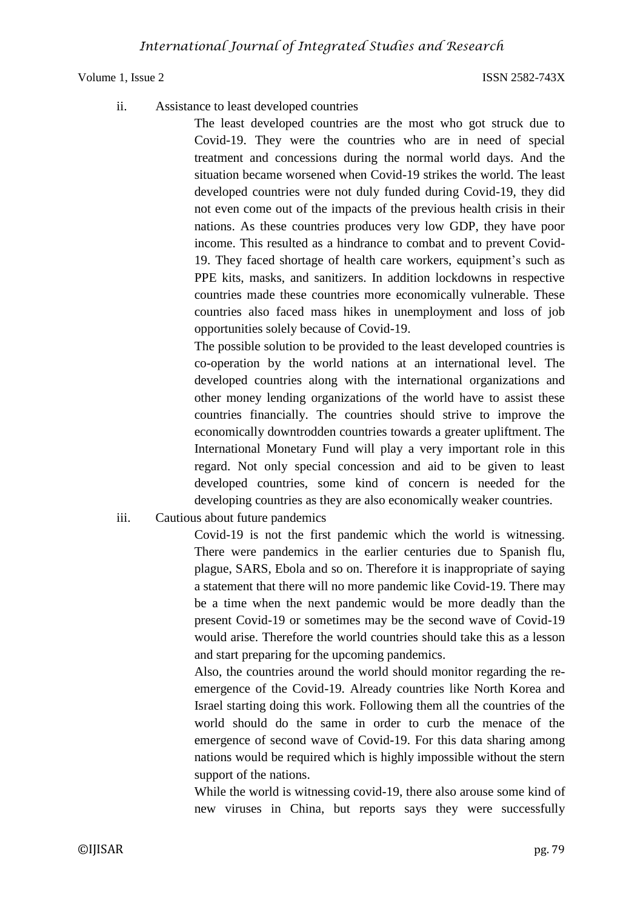ii. Assistance to least developed countries

The least developed countries are the most who got struck due to Covid-19. They were the countries who are in need of special treatment and concessions during the normal world days. And the situation became worsened when Covid-19 strikes the world. The least developed countries were not duly funded during Covid-19, they did not even come out of the impacts of the previous health crisis in their nations. As these countries produces very low GDP, they have poor income. This resulted as a hindrance to combat and to prevent Covid-19. They faced shortage of health care workers, equipment's such as PPE kits, masks, and sanitizers. In addition lockdowns in respective countries made these countries more economically vulnerable. These countries also faced mass hikes in unemployment and loss of job opportunities solely because of Covid-19.

The possible solution to be provided to the least developed countries is co-operation by the world nations at an international level. The developed countries along with the international organizations and other money lending organizations of the world have to assist these countries financially. The countries should strive to improve the economically downtrodden countries towards a greater upliftment. The International Monetary Fund will play a very important role in this regard. Not only special concession and aid to be given to least developed countries, some kind of concern is needed for the developing countries as they are also economically weaker countries.

iii. Cautious about future pandemics

Covid-19 is not the first pandemic which the world is witnessing. There were pandemics in the earlier centuries due to Spanish flu, plague, SARS, Ebola and so on. Therefore it is inappropriate of saying a statement that there will no more pandemic like Covid-19. There may be a time when the next pandemic would be more deadly than the present Covid-19 or sometimes may be the second wave of Covid-19 would arise. Therefore the world countries should take this as a lesson and start preparing for the upcoming pandemics.

Also, the countries around the world should monitor regarding the reemergence of the Covid-19. Already countries like North Korea and Israel starting doing this work. Following them all the countries of the world should do the same in order to curb the menace of the emergence of second wave of Covid-19. For this data sharing among nations would be required which is highly impossible without the stern support of the nations.

While the world is witnessing covid-19, there also arouse some kind of new viruses in China, but reports says they were successfully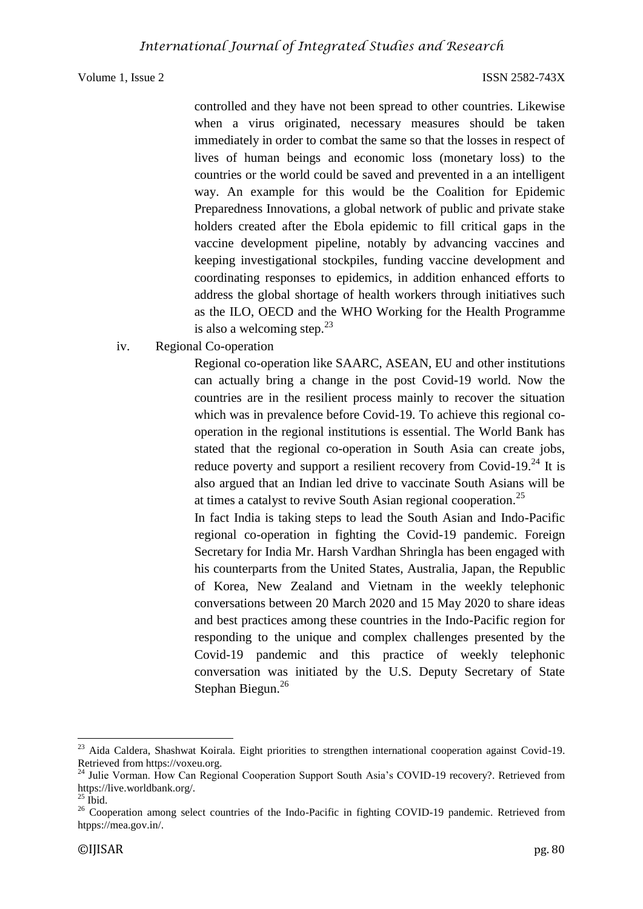controlled and they have not been spread to other countries. Likewise when a virus originated, necessary measures should be taken immediately in order to combat the same so that the losses in respect of lives of human beings and economic loss (monetary loss) to the countries or the world could be saved and prevented in a an intelligent way. An example for this would be the Coalition for Epidemic Preparedness Innovations, a global network of public and private stake holders created after the Ebola epidemic to fill critical gaps in the vaccine development pipeline, notably by advancing vaccines and keeping investigational stockpiles, funding vaccine development and coordinating responses to epidemics, in addition enhanced efforts to address the global shortage of health workers through initiatives such as the ILO, OECD and the WHO Working for the Health Programme is also a welcoming step. $2<sup>3</sup>$ 

### iv. Regional Co-operation

Regional co-operation like SAARC, ASEAN, EU and other institutions can actually bring a change in the post Covid-19 world. Now the countries are in the resilient process mainly to recover the situation which was in prevalence before Covid-19. To achieve this regional cooperation in the regional institutions is essential. The World Bank has stated that the regional co-operation in South Asia can create jobs, reduce poverty and support a resilient recovery from Covid-19.<sup>24</sup> It is also argued that an Indian led drive to vaccinate South Asians will be at times a catalyst to revive South Asian regional cooperation.<sup>25</sup>

In fact India is taking steps to lead the South Asian and Indo-Pacific regional co-operation in fighting the Covid-19 pandemic. Foreign Secretary for India Mr. Harsh Vardhan Shringla has been engaged with his counterparts from the United States, Australia, Japan, the Republic of Korea, New Zealand and Vietnam in the weekly telephonic conversations between 20 March 2020 and 15 May 2020 to share ideas and best practices among these countries in the Indo-Pacific region for responding to the unique and complex challenges presented by the Covid-19 pandemic and this practice of weekly telephonic conversation was initiated by the U.S. Deputy Secretary of State Stephan Biegun.<sup>26</sup>

**.** 

<sup>&</sup>lt;sup>23</sup> Aida Caldera, Shashwat Koirala. Eight priorities to strengthen international cooperation against Covid-19. Retrieved from https://voxeu.org.

<sup>&</sup>lt;sup>24</sup> Julie Vorman. How Can Regional Cooperation Support South Asia's COVID-19 recovery?. Retrieved from https://live.worldbank.org/.

 $^{25}$  Ibid.

<sup>&</sup>lt;sup>26</sup> Cooperation among select countries of the Indo-Pacific in fighting COVID-19 pandemic. Retrieved from htpps://mea.gov.in/.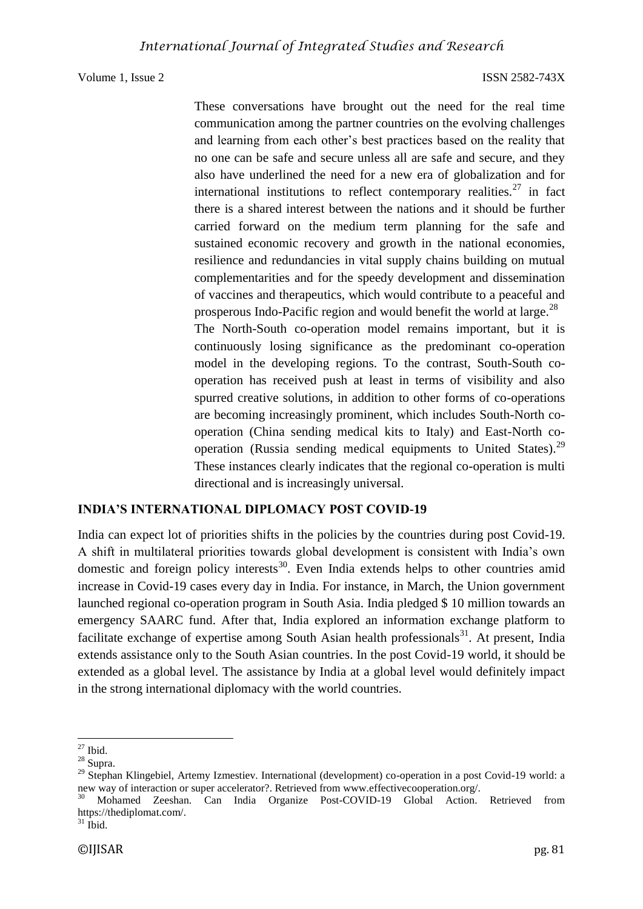These conversations have brought out the need for the real time communication among the partner countries on the evolving challenges and learning from each other's best practices based on the reality that no one can be safe and secure unless all are safe and secure, and they also have underlined the need for a new era of globalization and for international institutions to reflect contemporary realities. $27$  in fact there is a shared interest between the nations and it should be further carried forward on the medium term planning for the safe and sustained economic recovery and growth in the national economies, resilience and redundancies in vital supply chains building on mutual complementarities and for the speedy development and dissemination of vaccines and therapeutics, which would contribute to a peaceful and prosperous Indo-Pacific region and would benefit the world at large.<sup>28</sup> The North-South co-operation model remains important, but it is continuously losing significance as the predominant co-operation model in the developing regions. To the contrast, South-South cooperation has received push at least in terms of visibility and also spurred creative solutions, in addition to other forms of co-operations are becoming increasingly prominent, which includes South-North cooperation (China sending medical kits to Italy) and East-North cooperation (Russia sending medical equipments to United States).<sup>29</sup> These instances clearly indicates that the regional co-operation is multi directional and is increasingly universal.

# **INDIA'S INTERNATIONAL DIPLOMACY POST COVID-19**

India can expect lot of priorities shifts in the policies by the countries during post Covid-19. A shift in multilateral priorities towards global development is consistent with India's own domestic and foreign policy interests<sup>30</sup>. Even India extends helps to other countries amid increase in Covid-19 cases every day in India. For instance, in March, the Union government launched regional co-operation program in South Asia. India pledged \$ 10 million towards an emergency SAARC fund. After that, India explored an information exchange platform to facilitate exchange of expertise among South Asian health professionals $31$ . At present, India extends assistance only to the South Asian countries. In the post Covid-19 world, it should be extended as a global level. The assistance by India at a global level would definitely impact in the strong international diplomacy with the world countries.

 $31$  Ibid.

**<sup>.</sup>**  $27$  Ibid.

<sup>28</sup> Supra.

<sup>&</sup>lt;sup>29</sup> Stephan Klingebiel, Artemy Izmestiev. International (development) co-operation in a post Covid-19 world: a new way of interaction or super accelerator?. Retrieved from www.effectivecooperation.org/.

<sup>&</sup>lt;sup>30</sup> Mohamed Zeeshan. Can India Organize Post-COVID-19 Global Action. Retrieved from https://thediplomat.com/.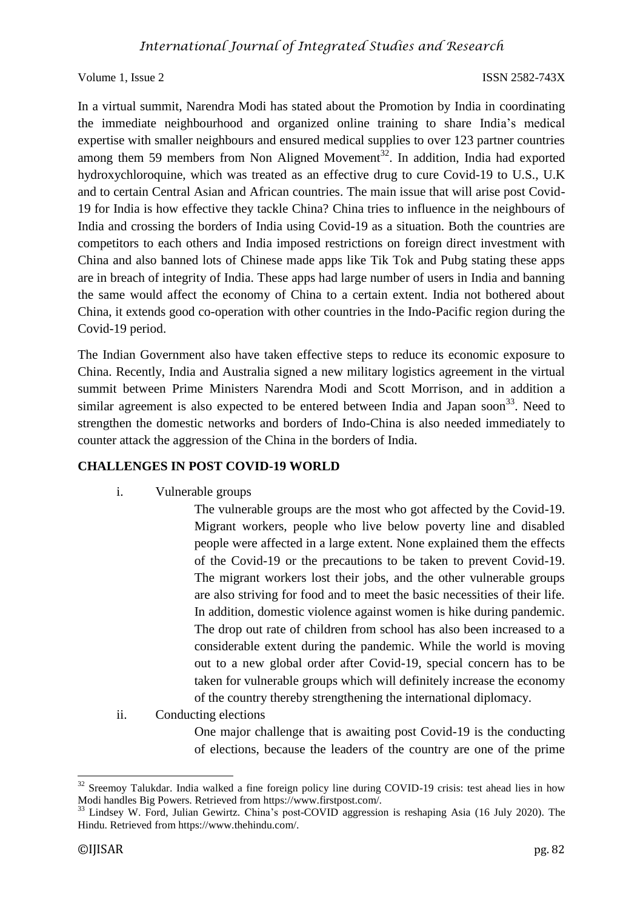In a virtual summit, Narendra Modi has stated about the Promotion by India in coordinating the immediate neighbourhood and organized online training to share India's medical expertise with smaller neighbours and ensured medical supplies to over 123 partner countries among them 59 members from Non Aligned Movement<sup>32</sup>. In addition, India had exported hydroxychloroquine, which was treated as an effective drug to cure Covid-19 to U.S., U.K and to certain Central Asian and African countries. The main issue that will arise post Covid-19 for India is how effective they tackle China? China tries to influence in the neighbours of India and crossing the borders of India using Covid-19 as a situation. Both the countries are competitors to each others and India imposed restrictions on foreign direct investment with China and also banned lots of Chinese made apps like Tik Tok and Pubg stating these apps are in breach of integrity of India. These apps had large number of users in India and banning the same would affect the economy of China to a certain extent. India not bothered about China, it extends good co-operation with other countries in the Indo-Pacific region during the Covid-19 period.

The Indian Government also have taken effective steps to reduce its economic exposure to China. Recently, India and Australia signed a new military logistics agreement in the virtual summit between Prime Ministers Narendra Modi and Scott Morrison, and in addition a similar agreement is also expected to be entered between India and Japan soon<sup>33</sup>. Need to strengthen the domestic networks and borders of Indo-China is also needed immediately to counter attack the aggression of the China in the borders of India.

### **CHALLENGES IN POST COVID-19 WORLD**

i. Vulnerable groups

The vulnerable groups are the most who got affected by the Covid-19. Migrant workers, people who live below poverty line and disabled people were affected in a large extent. None explained them the effects of the Covid-19 or the precautions to be taken to prevent Covid-19. The migrant workers lost their jobs, and the other vulnerable groups are also striving for food and to meet the basic necessities of their life. In addition, domestic violence against women is hike during pandemic. The drop out rate of children from school has also been increased to a considerable extent during the pandemic. While the world is moving out to a new global order after Covid-19, special concern has to be taken for vulnerable groups which will definitely increase the economy of the country thereby strengthening the international diplomacy.

ii. Conducting elections

One major challenge that is awaiting post Covid-19 is the conducting of elections, because the leaders of the country are one of the prime

**.** 

<sup>&</sup>lt;sup>32</sup> Sreemov Talukdar. India walked a fine foreign policy line during COVID-19 crisis: test ahead lies in how Modi handles Big Powers. Retrieved from https://www.firstpost.com/.

<sup>&</sup>lt;sup>33</sup> Lindsey W. Ford, Julian Gewirtz. China's post-COVID aggression is reshaping Asia (16 July 2020). The Hindu. Retrieved from https://www.thehindu.com/.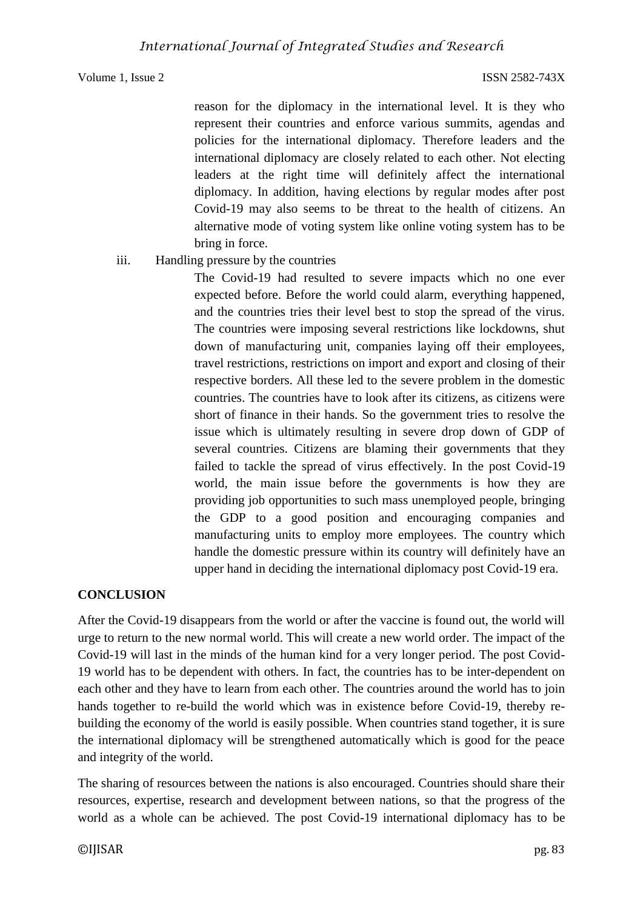reason for the diplomacy in the international level. It is they who represent their countries and enforce various summits, agendas and policies for the international diplomacy. Therefore leaders and the international diplomacy are closely related to each other. Not electing leaders at the right time will definitely affect the international diplomacy. In addition, having elections by regular modes after post Covid-19 may also seems to be threat to the health of citizens. An alternative mode of voting system like online voting system has to be bring in force.

# iii. Handling pressure by the countries

The Covid-19 had resulted to severe impacts which no one ever expected before. Before the world could alarm, everything happened, and the countries tries their level best to stop the spread of the virus. The countries were imposing several restrictions like lockdowns, shut down of manufacturing unit, companies laying off their employees, travel restrictions, restrictions on import and export and closing of their respective borders. All these led to the severe problem in the domestic countries. The countries have to look after its citizens, as citizens were short of finance in their hands. So the government tries to resolve the issue which is ultimately resulting in severe drop down of GDP of several countries. Citizens are blaming their governments that they failed to tackle the spread of virus effectively. In the post Covid-19 world, the main issue before the governments is how they are providing job opportunities to such mass unemployed people, bringing the GDP to a good position and encouraging companies and manufacturing units to employ more employees. The country which handle the domestic pressure within its country will definitely have an upper hand in deciding the international diplomacy post Covid-19 era.

# **CONCLUSION**

After the Covid-19 disappears from the world or after the vaccine is found out, the world will urge to return to the new normal world. This will create a new world order. The impact of the Covid-19 will last in the minds of the human kind for a very longer period. The post Covid-19 world has to be dependent with others. In fact, the countries has to be inter-dependent on each other and they have to learn from each other. The countries around the world has to join hands together to re-build the world which was in existence before Covid-19, thereby rebuilding the economy of the world is easily possible. When countries stand together, it is sure the international diplomacy will be strengthened automatically which is good for the peace and integrity of the world.

The sharing of resources between the nations is also encouraged. Countries should share their resources, expertise, research and development between nations, so that the progress of the world as a whole can be achieved. The post Covid-19 international diplomacy has to be